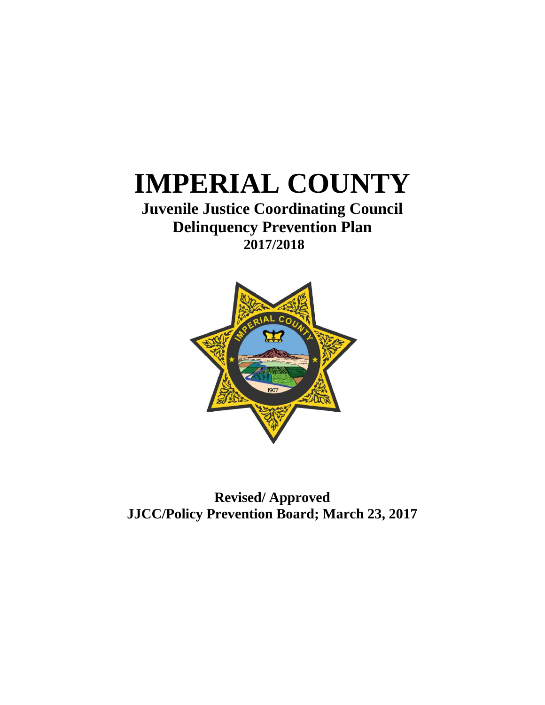# **IMPERIAL COUNTY**

# **Juvenile Justice Coordinating Council Delinquency Prevention Plan 2017/2018**



**Revised/ Approved JJCC/Policy Prevention Board; March 23, 2017**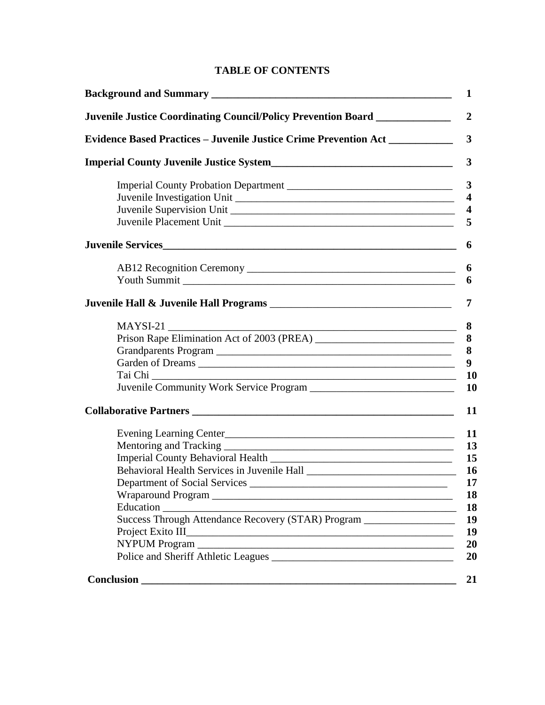# **TABLE OF CONTENTS**

| Evidence Based Practices - Juvenile Justice Crime Prevention Act ______________                                                           |
|-------------------------------------------------------------------------------------------------------------------------------------------|
|                                                                                                                                           |
|                                                                                                                                           |
|                                                                                                                                           |
|                                                                                                                                           |
|                                                                                                                                           |
|                                                                                                                                           |
|                                                                                                                                           |
|                                                                                                                                           |
|                                                                                                                                           |
|                                                                                                                                           |
|                                                                                                                                           |
|                                                                                                                                           |
|                                                                                                                                           |
|                                                                                                                                           |
| Tai Chi                                                                                                                                   |
|                                                                                                                                           |
|                                                                                                                                           |
| Evening Learning Center                                                                                                                   |
|                                                                                                                                           |
|                                                                                                                                           |
|                                                                                                                                           |
| <b>Department of Social Services</b>                                                                                                      |
|                                                                                                                                           |
|                                                                                                                                           |
| Success Through Attendance Recovery (STAR) Program ________________                                                                       |
| Project Exito III<br><u> 2000 - 2000 - 2000 - 2000 - 2000 - 2000 - 2000 - 2000 - 2000 - 2000 - 2000 - 2000 - 2000 - 2000 - 2000 - 200</u> |
|                                                                                                                                           |
|                                                                                                                                           |
| <b>Conclusion</b>                                                                                                                         |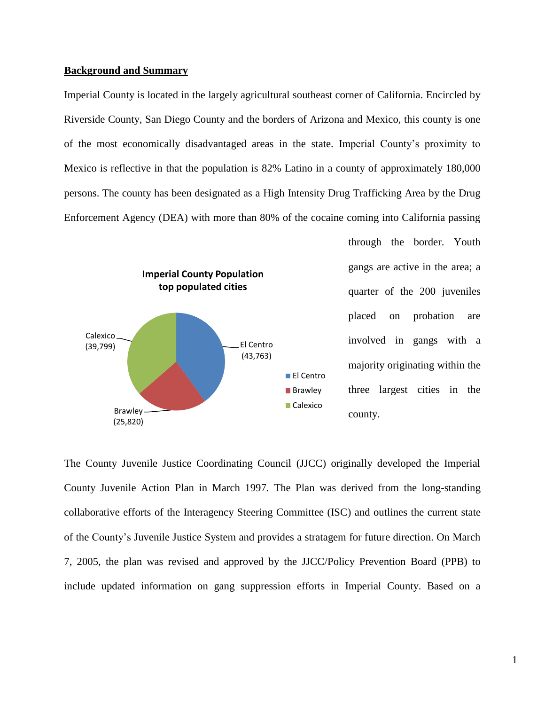## **Background and Summary**

Imperial County is located in the largely agricultural southeast corner of California. Encircled by Riverside County, San Diego County and the borders of Arizona and Mexico, this county is one of the most economically disadvantaged areas in the state. Imperial County's proximity to Mexico is reflective in that the population is 82% Latino in a county of approximately 180,000 persons. The county has been designated as a High Intensity Drug Trafficking Area by the Drug Enforcement Agency (DEA) with more than 80% of the cocaine coming into California passing



through the border. Youth gangs are active in the area; a quarter of the 200 juveniles placed on probation are involved in gangs with a majority originating within the three largest cities in the county.

The County Juvenile Justice Coordinating Council (JJCC) originally developed the Imperial County Juvenile Action Plan in March 1997. The Plan was derived from the long-standing collaborative efforts of the Interagency Steering Committee (ISC) and outlines the current state of the County's Juvenile Justice System and provides a stratagem for future direction. On March 7, 2005, the plan was revised and approved by the JJCC/Policy Prevention Board (PPB) to include updated information on gang suppression efforts in Imperial County. Based on a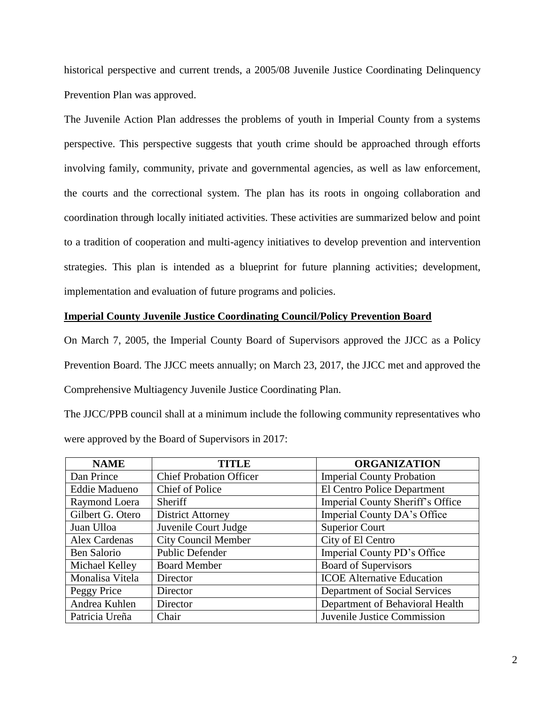historical perspective and current trends, a 2005/08 Juvenile Justice Coordinating Delinquency Prevention Plan was approved.

The Juvenile Action Plan addresses the problems of youth in Imperial County from a systems perspective. This perspective suggests that youth crime should be approached through efforts involving family, community, private and governmental agencies, as well as law enforcement, the courts and the correctional system. The plan has its roots in ongoing collaboration and coordination through locally initiated activities. These activities are summarized below and point to a tradition of cooperation and multi-agency initiatives to develop prevention and intervention strategies. This plan is intended as a blueprint for future planning activities; development, implementation and evaluation of future programs and policies.

# **Imperial County Juvenile Justice Coordinating Council/Policy Prevention Board**

On March 7, 2005, the Imperial County Board of Supervisors approved the JJCC as a Policy Prevention Board. The JJCC meets annually; on March 23, 2017, the JJCC met and approved the Comprehensive Multiagency Juvenile Justice Coordinating Plan.

The JJCC/PPB council shall at a minimum include the following community representatives who were approved by the Board of Supervisors in 2017:

| <b>NAME</b>          | <b>TITLE</b>                   | <b>ORGANIZATION</b>               |
|----------------------|--------------------------------|-----------------------------------|
| Dan Prince           | <b>Chief Probation Officer</b> | <b>Imperial County Probation</b>  |
| <b>Eddie Madueno</b> | <b>Chief of Police</b>         | El Centro Police Department       |
| Raymond Loera        | Sheriff                        | Imperial County Sheriff's Office  |
| Gilbert G. Otero     | <b>District Attorney</b>       | Imperial County DA's Office       |
| Juan Ulloa           | Juvenile Court Judge           | <b>Superior Court</b>             |
| Alex Cardenas        | <b>City Council Member</b>     | City of El Centro                 |
| Ben Salorio          | <b>Public Defender</b>         | Imperial County PD's Office       |
| Michael Kelley       | <b>Board Member</b>            | <b>Board of Supervisors</b>       |
| Monalisa Vitela      | Director                       | <b>ICOE Alternative Education</b> |
| Peggy Price          | Director                       | Department of Social Services     |
| Andrea Kuhlen        | Director                       | Department of Behavioral Health   |
| Patricia Ureña       | Chair                          | Juvenile Justice Commission       |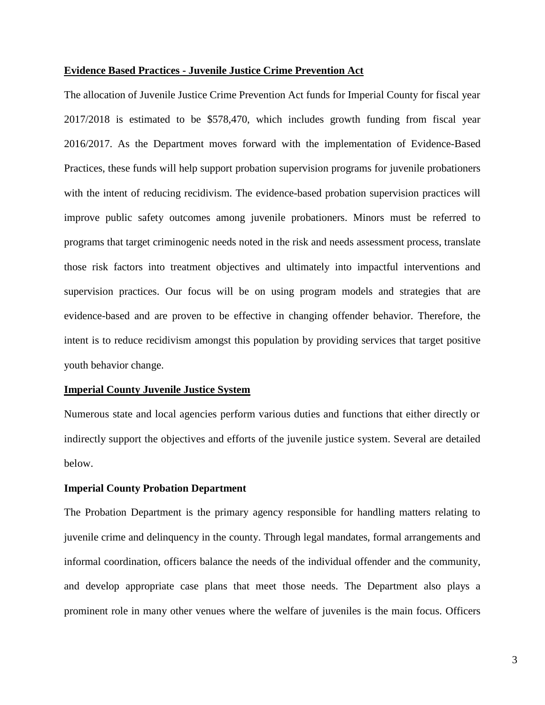# **Evidence Based Practices - Juvenile Justice Crime Prevention Act**

The allocation of Juvenile Justice Crime Prevention Act funds for Imperial County for fiscal year 2017/2018 is estimated to be \$578,470, which includes growth funding from fiscal year 2016/2017. As the Department moves forward with the implementation of Evidence-Based Practices, these funds will help support probation supervision programs for juvenile probationers with the intent of reducing recidivism. The evidence-based probation supervision practices will improve public safety outcomes among juvenile probationers. Minors must be referred to programs that target criminogenic needs noted in the risk and needs assessment process, translate those risk factors into treatment objectives and ultimately into impactful interventions and supervision practices. Our focus will be on using program models and strategies that are evidence-based and are proven to be effective in changing offender behavior. Therefore, the intent is to reduce recidivism amongst this population by providing services that target positive youth behavior change.

#### **Imperial County Juvenile Justice System**

Numerous state and local agencies perform various duties and functions that either directly or indirectly support the objectives and efforts of the juvenile justice system. Several are detailed below.

#### **Imperial County Probation Department**

The Probation Department is the primary agency responsible for handling matters relating to juvenile crime and delinquency in the county. Through legal mandates, formal arrangements and informal coordination, officers balance the needs of the individual offender and the community, and develop appropriate case plans that meet those needs. The Department also plays a prominent role in many other venues where the welfare of juveniles is the main focus. Officers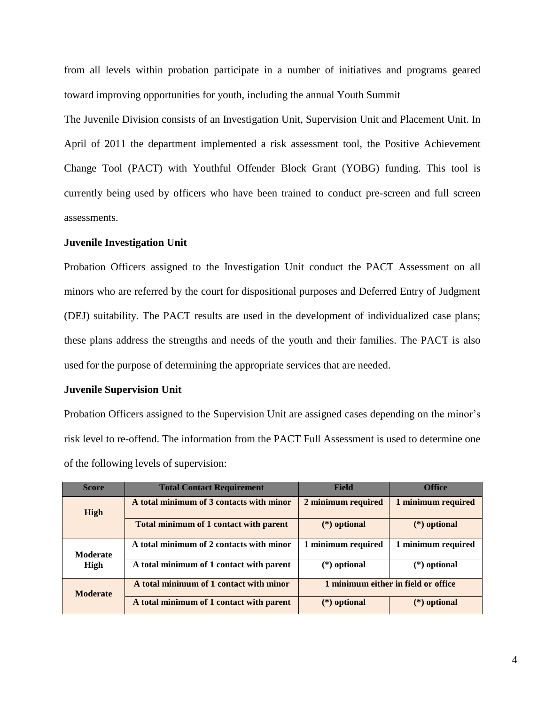from all levels within probation participate in a number of initiatives and programs geared toward improving opportunities for youth, including the annual Youth Summit

The Juvenile Division consists of an Investigation Unit, Supervision Unit and Placement Unit. In April of 2011 the department implemented a risk assessment tool, the Positive Achievement Change Tool (PACT) with Youthful Offender Block Grant (YOBG) funding. This tool is currently being used by officers who have been trained to conduct pre-screen and full screen assessments.

# **Juvenile Investigation Unit**

Probation Officers assigned to the Investigation Unit conduct the PACT Assessment on all minors who are referred by the court for dispositional purposes and Deferred Entry of Judgment (DEJ) suitability. The PACT results are used in the development of individualized case plans; these plans address the strengths and needs of the youth and their families. The PACT is also used for the purpose of determining the appropriate services that are needed.

# **Juvenile Supervision Unit**

Probation Officers assigned to the Supervision Unit are assigned cases depending on the minor's risk level to re-offend. The information from the PACT Full Assessment is used to determine one of the following levels of supervision:

| <b>Score</b>     | <b>Total Contact Requirement</b>         | <b>Field</b>                        | <b>Office</b>      |
|------------------|------------------------------------------|-------------------------------------|--------------------|
| High             | A total minimum of 3 contacts with minor | 2 minimum required                  | 1 minimum required |
|                  | Total minimum of 1 contact with parent   | $(*)$ optional                      | $(*)$ optional     |
| Moderate<br>High | A total minimum of 2 contacts with minor | 1 minimum required                  | 1 minimum required |
|                  | A total minimum of 1 contact with parent | $(*)$ optional                      | $(*)$ optional     |
| <b>Moderate</b>  | A total minimum of 1 contact with minor  | 1 minimum either in field or office |                    |
|                  | A total minimum of 1 contact with parent | $(*)$ optional                      | (*) optional       |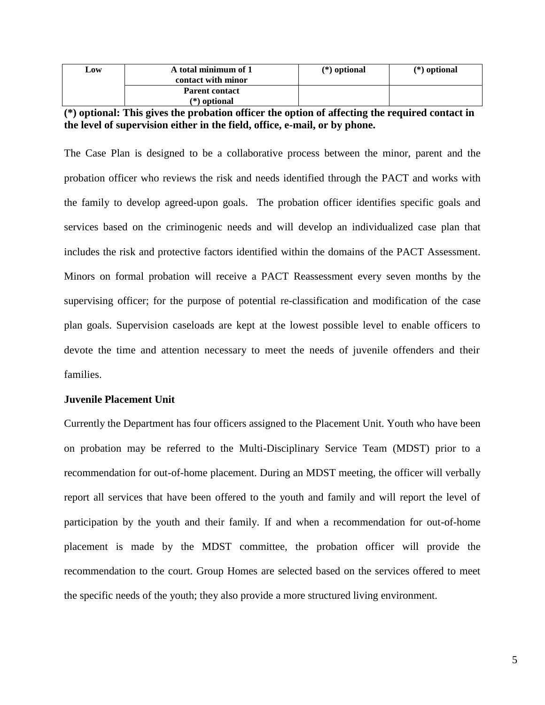| Low | A total minimum of 1<br>contact with minor | $(*)$ optional | $(*)$ optional |
|-----|--------------------------------------------|----------------|----------------|
|     | <b>Parent contact</b><br>$(*)$ optional    |                |                |

# **(\*) optional: This gives the probation officer the option of affecting the required contact in the level of supervision either in the field, office, e-mail, or by phone.**

The Case Plan is designed to be a collaborative process between the minor, parent and the probation officer who reviews the risk and needs identified through the PACT and works with the family to develop agreed-upon goals. The probation officer identifies specific goals and services based on the criminogenic needs and will develop an individualized case plan that includes the risk and protective factors identified within the domains of the PACT Assessment. Minors on formal probation will receive a PACT Reassessment every seven months by the supervising officer; for the purpose of potential re-classification and modification of the case plan goals. Supervision caseloads are kept at the lowest possible level to enable officers to devote the time and attention necessary to meet the needs of juvenile offenders and their families.

# **Juvenile Placement Unit**

Currently the Department has four officers assigned to the Placement Unit. Youth who have been on probation may be referred to the Multi-Disciplinary Service Team (MDST) prior to a recommendation for out-of-home placement. During an MDST meeting, the officer will verbally report all services that have been offered to the youth and family and will report the level of participation by the youth and their family. If and when a recommendation for out-of-home placement is made by the MDST committee, the probation officer will provide the recommendation to the court. Group Homes are selected based on the services offered to meet the specific needs of the youth; they also provide a more structured living environment.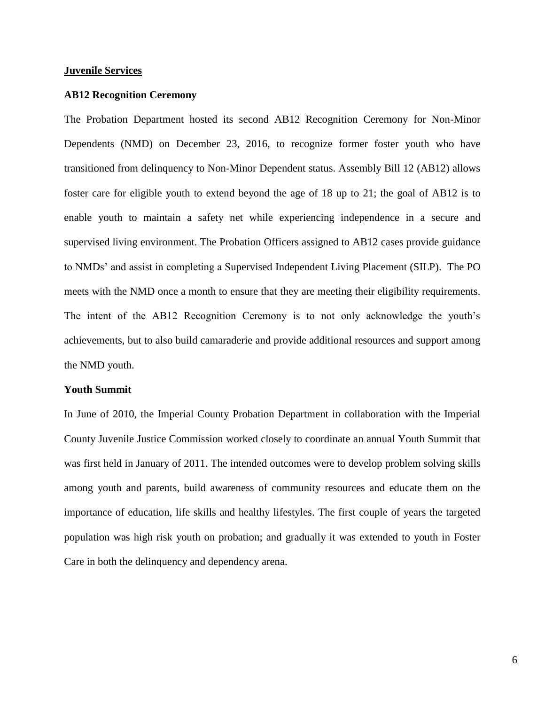#### **Juvenile Services**

#### **AB12 Recognition Ceremony**

The Probation Department hosted its second AB12 Recognition Ceremony for Non-Minor Dependents (NMD) on December 23, 2016, to recognize former foster youth who have transitioned from delinquency to Non-Minor Dependent status. Assembly Bill 12 (AB12) allows foster care for eligible youth to extend beyond the age of 18 up to 21; the goal of AB12 is to enable youth to maintain a safety net while experiencing independence in a secure and supervised living environment. The Probation Officers assigned to AB12 cases provide guidance to NMDs' and assist in completing a Supervised Independent Living Placement (SILP). The PO meets with the NMD once a month to ensure that they are meeting their eligibility requirements. The intent of the AB12 Recognition Ceremony is to not only acknowledge the youth's achievements, but to also build camaraderie and provide additional resources and support among the NMD youth.

# **Youth Summit**

In June of 2010, the Imperial County Probation Department in collaboration with the Imperial County Juvenile Justice Commission worked closely to coordinate an annual Youth Summit that was first held in January of 2011. The intended outcomes were to develop problem solving skills among youth and parents, build awareness of community resources and educate them on the importance of education, life skills and healthy lifestyles. The first couple of years the targeted population was high risk youth on probation; and gradually it was extended to youth in Foster Care in both the delinquency and dependency arena.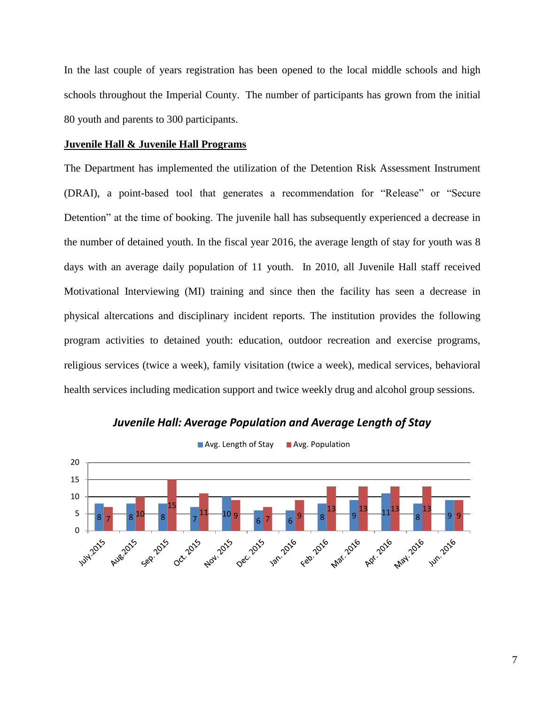In the last couple of years registration has been opened to the local middle schools and high schools throughout the Imperial County. The number of participants has grown from the initial 80 youth and parents to 300 participants.

## **Juvenile Hall & Juvenile Hall Programs**

The Department has implemented the utilization of the Detention Risk Assessment Instrument (DRAI), a point-based tool that generates a recommendation for "Release" or "Secure Detention" at the time of booking. The juvenile hall has subsequently experienced a decrease in the number of detained youth. In the fiscal year 2016, the average length of stay for youth was 8 days with an average daily population of 11 youth. In 2010, all Juvenile Hall staff received Motivational Interviewing (MI) training and since then the facility has seen a decrease in physical altercations and disciplinary incident reports. The institution provides the following program activities to detained youth: education, outdoor recreation and exercise programs, religious services (twice a week), family visitation (twice a week), medical services, behavioral health services including medication support and twice weekly drug and alcohol group sessions.



*Juvenile Hall: Average Population and Average Length of Stay*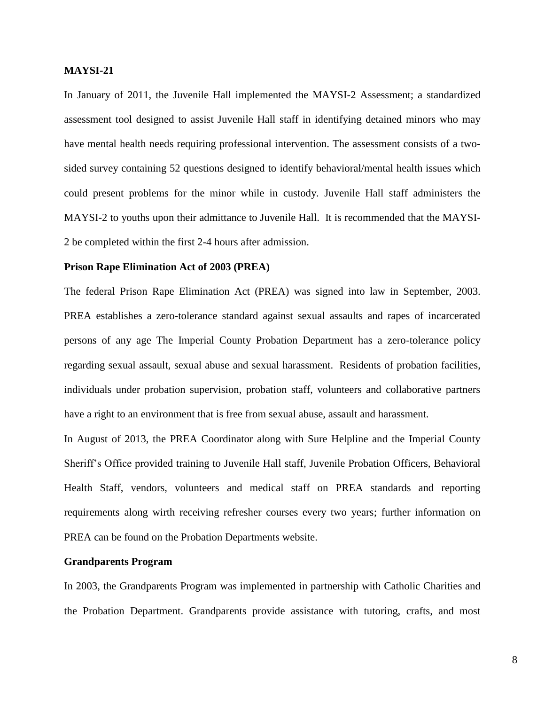# **MAYSI-21**

In January of 2011, the Juvenile Hall implemented the MAYSI-2 Assessment; a standardized assessment tool designed to assist Juvenile Hall staff in identifying detained minors who may have mental health needs requiring professional intervention. The assessment consists of a twosided survey containing 52 questions designed to identify behavioral/mental health issues which could present problems for the minor while in custody. Juvenile Hall staff administers the MAYSI-2 to youths upon their admittance to Juvenile Hall. It is recommended that the MAYSI-2 be completed within the first 2-4 hours after admission.

#### **Prison Rape Elimination Act of 2003 (PREA)**

The federal Prison Rape Elimination Act (PREA) was signed into law in September, 2003. PREA establishes a zero-tolerance standard against sexual assaults and rapes of incarcerated persons of any age The Imperial County Probation Department has a zero-tolerance policy regarding sexual assault, sexual abuse and sexual harassment. Residents of probation facilities, individuals under probation supervision, probation staff, volunteers and collaborative partners have a right to an environment that is free from sexual abuse, assault and harassment.

In August of 2013, the PREA Coordinator along with Sure Helpline and the Imperial County Sheriff's Office provided training to Juvenile Hall staff, Juvenile Probation Officers, Behavioral Health Staff, vendors, volunteers and medical staff on PREA standards and reporting requirements along wirth receiving refresher courses every two years; further information on PREA can be found on the Probation Departments website.

#### **Grandparents Program**

In 2003, the Grandparents Program was implemented in partnership with Catholic Charities and the Probation Department. Grandparents provide assistance with tutoring, crafts, and most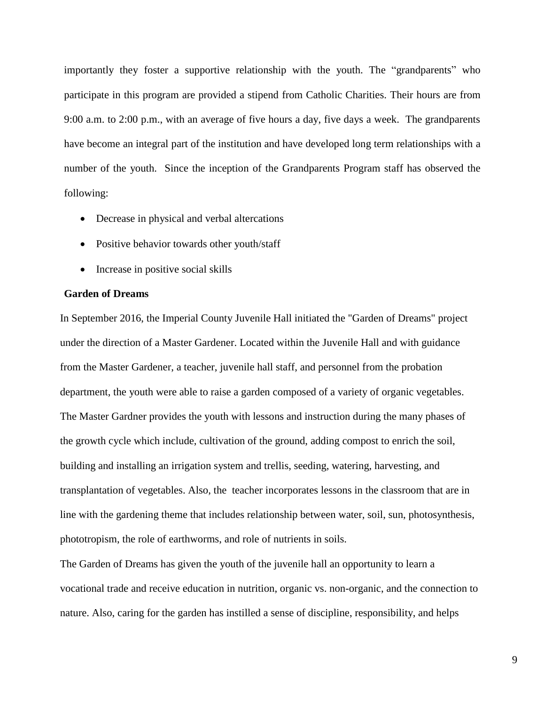importantly they foster a supportive relationship with the youth. The "grandparents" who participate in this program are provided a stipend from Catholic Charities. Their hours are from 9:00 a.m. to 2:00 p.m., with an average of five hours a day, five days a week. The grandparents have become an integral part of the institution and have developed long term relationships with a number of the youth. Since the inception of the Grandparents Program staff has observed the following:

- Decrease in physical and verbal altercations
- Positive behavior towards other youth/staff
- Increase in positive social skills

# **Garden of Dreams**

In September 2016, the Imperial County Juvenile Hall initiated the "Garden of Dreams" project under the direction of a Master Gardener. Located within the Juvenile Hall and with guidance from the Master Gardener, a teacher, juvenile hall staff, and personnel from the probation department, the youth were able to raise a garden composed of a variety of organic vegetables. The Master Gardner provides the youth with lessons and instruction during the many phases of the growth cycle which include, cultivation of the ground, adding compost to enrich the soil, building and installing an irrigation system and trellis, seeding, watering, harvesting, and transplantation of vegetables. Also, the teacher incorporates lessons in the classroom that are in line with the gardening theme that includes relationship between water, soil, sun, photosynthesis, phototropism, the role of earthworms, and role of nutrients in soils.

The Garden of Dreams has given the youth of the juvenile hall an opportunity to learn a vocational trade and receive education in nutrition, organic vs. non-organic, and the connection to nature. Also, caring for the garden has instilled a sense of discipline, responsibility, and helps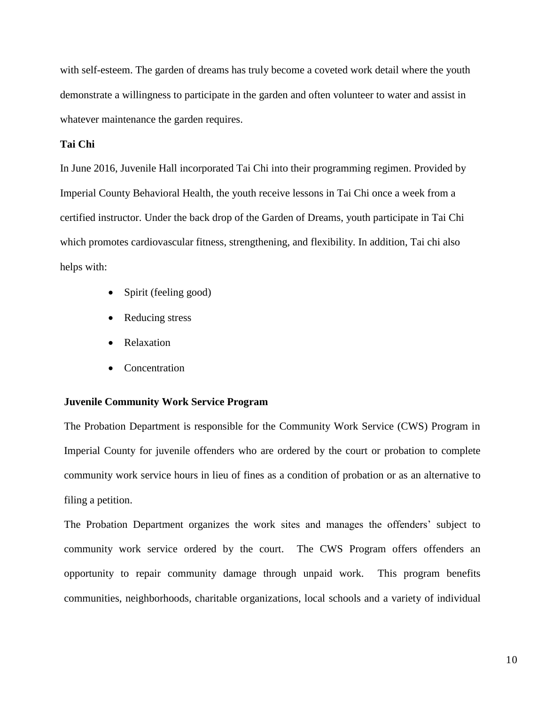with self-esteem. The garden of dreams has truly become a coveted work detail where the youth demonstrate a willingness to participate in the garden and often volunteer to water and assist in whatever maintenance the garden requires.

# **Tai Chi**

In June 2016, Juvenile Hall incorporated Tai Chi into their programming regimen. Provided by Imperial County Behavioral Health, the youth receive lessons in Tai Chi once a week from a certified instructor. Under the back drop of the Garden of Dreams, youth participate in Tai Chi which promotes cardiovascular fitness, strengthening, and flexibility. In addition, Tai chi also helps with:

- Spirit (feeling good)
- Reducing stress
- Relaxation
- Concentration

# **Juvenile Community Work Service Program**

The Probation Department is responsible for the Community Work Service (CWS) Program in Imperial County for juvenile offenders who are ordered by the court or probation to complete community work service hours in lieu of fines as a condition of probation or as an alternative to filing a petition.

The Probation Department organizes the work sites and manages the offenders' subject to community work service ordered by the court. The CWS Program offers offenders an opportunity to repair community damage through unpaid work. This program benefits communities, neighborhoods, charitable organizations, local schools and a variety of individual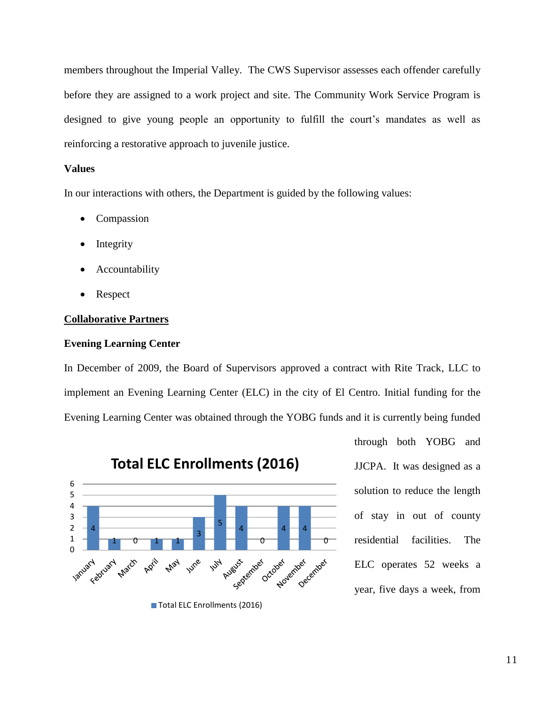members throughout the Imperial Valley. The CWS Supervisor assesses each offender carefully before they are assigned to a work project and site. The Community Work Service Program is designed to give young people an opportunity to fulfill the court's mandates as well as reinforcing a restorative approach to juvenile justice.

# **Values**

In our interactions with others, the Department is guided by the following values:

- Compassion
- Integrity
- Accountability
- Respect

# **Collaborative Partners**

## **Evening Learning Center**

In December of 2009, the Board of Supervisors approved a contract with Rite Track, LLC to implement an Evening Learning Center (ELC) in the city of El Centro. Initial funding for the Evening Learning Center was obtained through the YOBG funds and it is currently being funded



**Total ELC Enrollments (2016)**

Total ELC Enrollments (2016)

through both YOBG and JJCPA. It was designed as a solution to reduce the length of stay in out of county residential facilities. The ELC operates 52 weeks a year, five days a week, from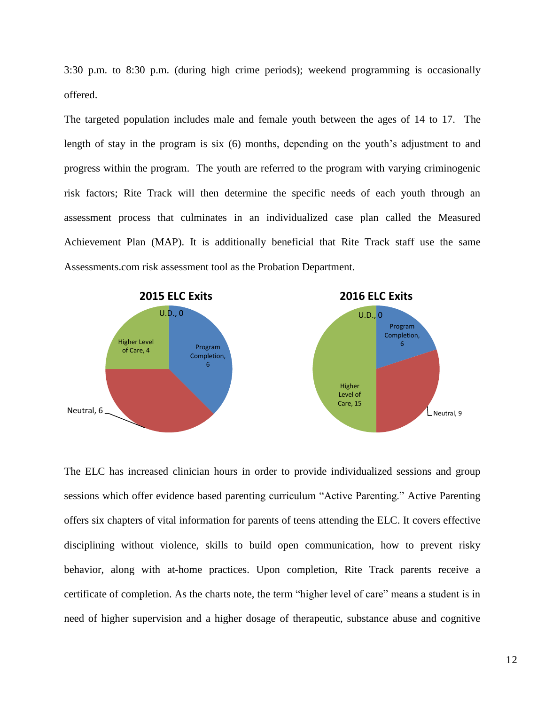3:30 p.m. to 8:30 p.m. (during high crime periods); weekend programming is occasionally offered.

The targeted population includes male and female youth between the ages of 14 to 17. The length of stay in the program is six (6) months, depending on the youth's adjustment to and progress within the program. The youth are referred to the program with varying criminogenic risk factors; Rite Track will then determine the specific needs of each youth through an assessment process that culminates in an individualized case plan called the Measured Achievement Plan (MAP). It is additionally beneficial that Rite Track staff use the same Assessments.com risk assessment tool as the Probation Department.



The ELC has increased clinician hours in order to provide individualized sessions and group sessions which offer evidence based parenting curriculum "Active Parenting." Active Parenting offers six chapters of vital information for parents of teens attending the ELC. It covers effective disciplining without violence, skills to build open communication, how to prevent risky behavior, along with at-home practices. Upon completion, Rite Track parents receive a certificate of completion. As the charts note, the term "higher level of care" means a student is in need of higher supervision and a higher dosage of therapeutic, substance abuse and cognitive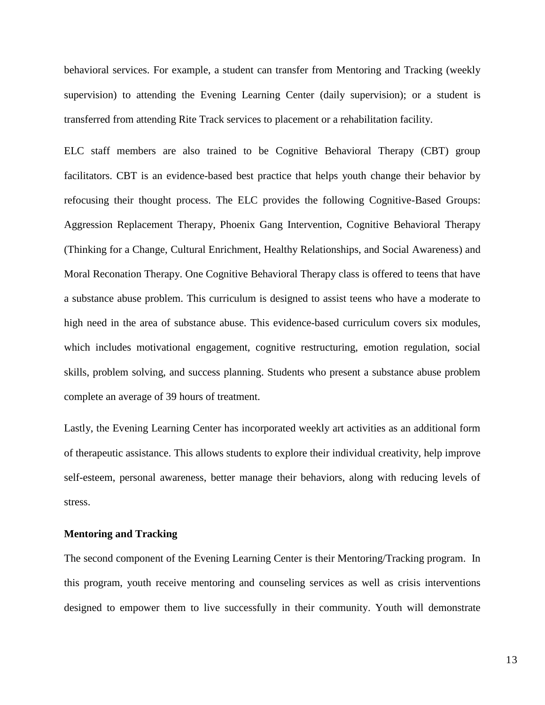behavioral services. For example, a student can transfer from Mentoring and Tracking (weekly supervision) to attending the Evening Learning Center (daily supervision); or a student is transferred from attending Rite Track services to placement or a rehabilitation facility.

ELC staff members are also trained to be Cognitive Behavioral Therapy (CBT) group facilitators. CBT is an evidence-based best practice that helps youth change their behavior by refocusing their thought process. The ELC provides the following Cognitive-Based Groups: Aggression Replacement Therapy, Phoenix Gang Intervention, Cognitive Behavioral Therapy (Thinking for a Change, Cultural Enrichment, Healthy Relationships, and Social Awareness) and Moral Reconation Therapy. One Cognitive Behavioral Therapy class is offered to teens that have a substance abuse problem. This curriculum is designed to assist teens who have a moderate to high need in the area of substance abuse. This evidence-based curriculum covers six modules, which includes motivational engagement, cognitive restructuring, emotion regulation, social skills, problem solving, and success planning. Students who present a substance abuse problem complete an average of 39 hours of treatment.

Lastly, the Evening Learning Center has incorporated weekly art activities as an additional form of therapeutic assistance. This allows students to explore their individual creativity, help improve self-esteem, personal awareness, better manage their behaviors, along with reducing levels of stress.

# **Mentoring and Tracking**

The second component of the Evening Learning Center is their Mentoring/Tracking program. In this program, youth receive mentoring and counseling services as well as crisis interventions designed to empower them to live successfully in their community. Youth will demonstrate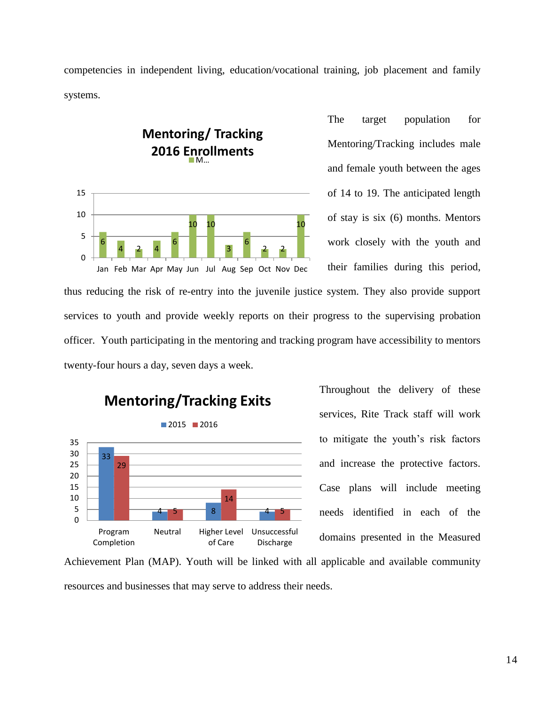competencies in independent living, education/vocational training, job placement and family systems.



The target population for Mentoring/Tracking includes male and female youth between the ages of 14 to 19. The anticipated length of stay is six (6) months. Mentors work closely with the youth and their families during this period,

thus reducing the risk of re-entry into the juvenile justice system. They also provide support services to youth and provide weekly reports on their progress to the supervising probation officer. Youth participating in the mentoring and tracking program have accessibility to mentors twenty-four hours a day, seven days a week.



Throughout the delivery of these services, Rite Track staff will work to mitigate the youth's risk factors and increase the protective factors. Case plans will include meeting needs identified in each of the domains presented in the Measured

Achievement Plan (MAP). Youth will be linked with all applicable and available community resources and businesses that may serve to address their needs.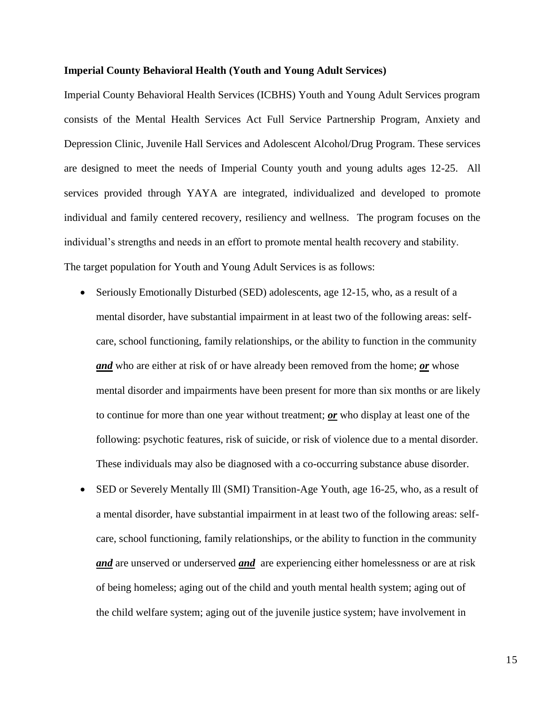## **Imperial County Behavioral Health (Youth and Young Adult Services)**

Imperial County Behavioral Health Services (ICBHS) Youth and Young Adult Services program consists of the Mental Health Services Act Full Service Partnership Program, Anxiety and Depression Clinic, Juvenile Hall Services and Adolescent Alcohol/Drug Program. These services are designed to meet the needs of Imperial County youth and young adults ages 12-25. All services provided through YAYA are integrated, individualized and developed to promote individual and family centered recovery, resiliency and wellness. The program focuses on the individual's strengths and needs in an effort to promote mental health recovery and stability. The target population for Youth and Young Adult Services is as follows:

- Seriously Emotionally Disturbed (SED) adolescents, age 12-15, who, as a result of a mental disorder, have substantial impairment in at least two of the following areas: selfcare, school functioning, family relationships, or the ability to function in the community *and* who are either at risk of or have already been removed from the home; *or* whose mental disorder and impairments have been present for more than six months or are likely to continue for more than one year without treatment; *or* who display at least one of the following: psychotic features, risk of suicide, or risk of violence due to a mental disorder. These individuals may also be diagnosed with a co-occurring substance abuse disorder.
- SED or Severely Mentally Ill (SMI) Transition-Age Youth, age 16-25, who, as a result of a mental disorder, have substantial impairment in at least two of the following areas: selfcare, school functioning, family relationships, or the ability to function in the community *and* are unserved or underserved *and* are experiencing either homelessness or are at risk of being homeless; aging out of the child and youth mental health system; aging out of the child welfare system; aging out of the juvenile justice system; have involvement in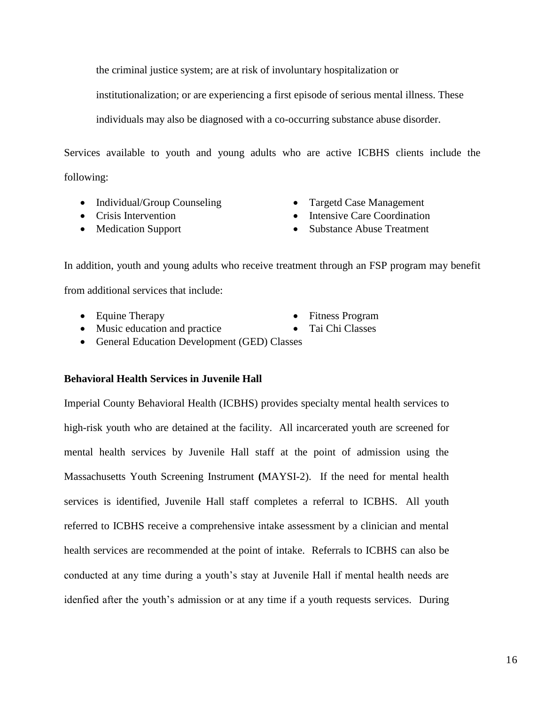the criminal justice system; are at risk of involuntary hospitalization or

institutionalization; or are experiencing a first episode of serious mental illness. These

individuals may also be diagnosed with a co-occurring substance abuse disorder.

Services available to youth and young adults who are active ICBHS clients include the following:

- Individual/Group Counseling Targetd Case Management
- 
- 
- 
- Crisis Intervention Intensive Care Coordination
- Medication Support Substance Abuse Treatment

In addition, youth and young adults who receive treatment through an FSP program may benefit from additional services that include:

- 
- Music education and practice Tai Chi Classes
- Equine Therapy Fitness Program
	-
- General Education Development (GED) Classes

# **Behavioral Health Services in Juvenile Hall**

Imperial County Behavioral Health (ICBHS) provides specialty mental health services to high-risk youth who are detained at the facility. All incarcerated youth are screened for mental health services by Juvenile Hall staff at the point of admission using the Massachusetts Youth Screening Instrument **(**MAYSI-2). If the need for mental health services is identified, Juvenile Hall staff completes a referral to ICBHS. All youth referred to ICBHS receive a comprehensive intake assessment by a clinician and mental health services are recommended at the point of intake. Referrals to ICBHS can also be conducted at any time during a youth's stay at Juvenile Hall if mental health needs are idenfied after the youth's admission or at any time if a youth requests services. During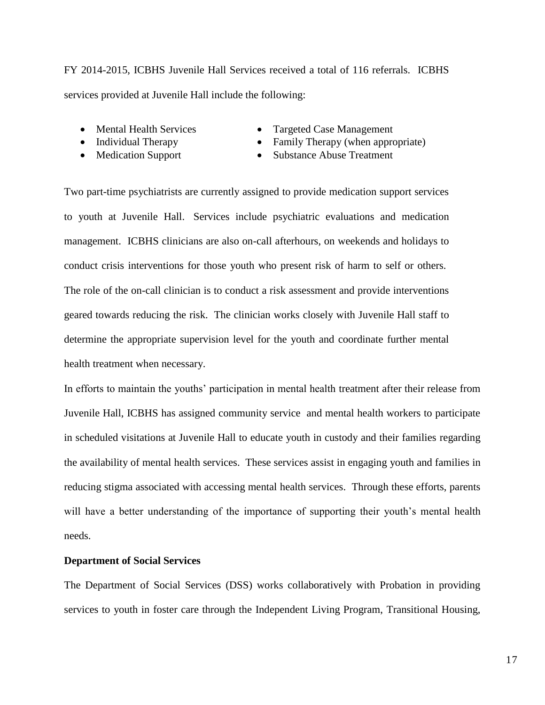FY 2014-2015, ICBHS Juvenile Hall Services received a total of 116 referrals. ICBHS services provided at Juvenile Hall include the following:

- 
- 
- 
- Mental Health Services Targeted Case Management
- Individual Therapy Family Therapy (when appropriate)
- Medication Support Substance Abuse Treatment

Two part-time psychiatrists are currently assigned to provide medication support services to youth at Juvenile Hall. Services include psychiatric evaluations and medication management. ICBHS clinicians are also on-call afterhours, on weekends and holidays to conduct crisis interventions for those youth who present risk of harm to self or others. The role of the on-call clinician is to conduct a risk assessment and provide interventions geared towards reducing the risk. The clinician works closely with Juvenile Hall staff to determine the appropriate supervision level for the youth and coordinate further mental health treatment when necessary.

In efforts to maintain the youths' participation in mental health treatment after their release from Juvenile Hall, ICBHS has assigned community service and mental health workers to participate in scheduled visitations at Juvenile Hall to educate youth in custody and their families regarding the availability of mental health services. These services assist in engaging youth and families in reducing stigma associated with accessing mental health services. Through these efforts, parents will have a better understanding of the importance of supporting their youth's mental health needs.

# **Department of Social Services**

The Department of Social Services (DSS) works collaboratively with Probation in providing services to youth in foster care through the Independent Living Program, Transitional Housing,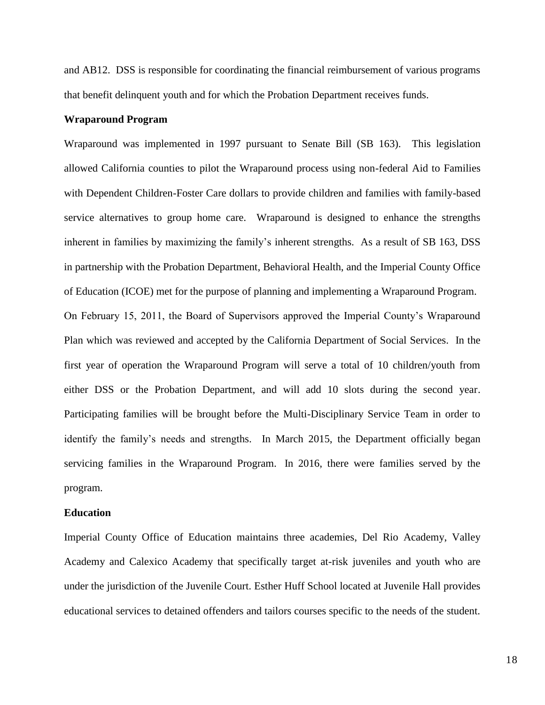and AB12. DSS is responsible for coordinating the financial reimbursement of various programs that benefit delinquent youth and for which the Probation Department receives funds.

## **Wraparound Program**

Wraparound was implemented in 1997 pursuant to Senate Bill (SB 163). This legislation allowed California counties to pilot the Wraparound process using non-federal Aid to Families with Dependent Children-Foster Care dollars to provide children and families with family-based service alternatives to group home care. Wraparound is designed to enhance the strengths inherent in families by maximizing the family's inherent strengths. As a result of SB 163, DSS in partnership with the Probation Department, Behavioral Health, and the Imperial County Office of Education (ICOE) met for the purpose of planning and implementing a Wraparound Program. On February 15, 2011, the Board of Supervisors approved the Imperial County's Wraparound Plan which was reviewed and accepted by the California Department of Social Services. In the first year of operation the Wraparound Program will serve a total of 10 children/youth from either DSS or the Probation Department, and will add 10 slots during the second year. Participating families will be brought before the Multi-Disciplinary Service Team in order to identify the family's needs and strengths. In March 2015, the Department officially began servicing families in the Wraparound Program. In 2016, there were families served by the

# program. **Education**

Imperial County Office of Education maintains three academies, Del Rio Academy, Valley Academy and Calexico Academy that specifically target at-risk juveniles and youth who are under the jurisdiction of the Juvenile Court. Esther Huff School located at Juvenile Hall provides educational services to detained offenders and tailors courses specific to the needs of the student.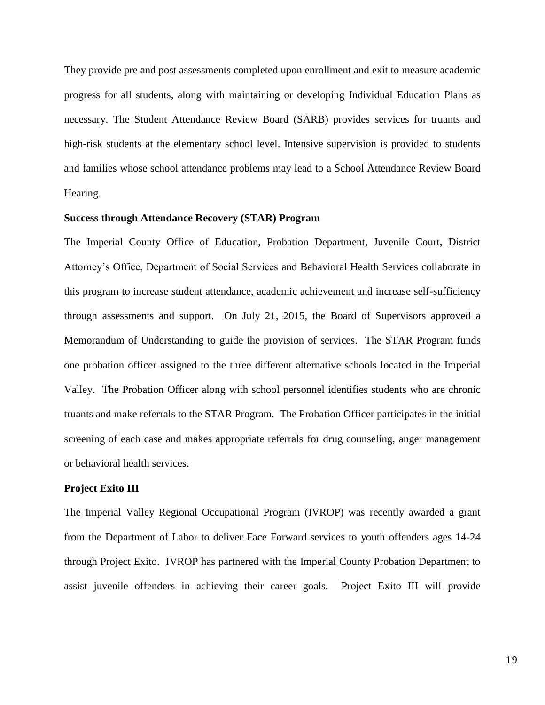They provide pre and post assessments completed upon enrollment and exit to measure academic progress for all students, along with maintaining or developing Individual Education Plans as necessary. The Student Attendance Review Board (SARB) provides services for truants and high-risk students at the elementary school level. Intensive supervision is provided to students and families whose school attendance problems may lead to a School Attendance Review Board Hearing.

# **Success through Attendance Recovery (STAR) Program**

The Imperial County Office of Education, Probation Department, Juvenile Court, District Attorney's Office, Department of Social Services and Behavioral Health Services collaborate in this program to increase student attendance, academic achievement and increase self-sufficiency through assessments and support. On July 21, 2015, the Board of Supervisors approved a Memorandum of Understanding to guide the provision of services. The STAR Program funds one probation officer assigned to the three different alternative schools located in the Imperial Valley. The Probation Officer along with school personnel identifies students who are chronic truants and make referrals to the STAR Program. The Probation Officer participates in the initial screening of each case and makes appropriate referrals for drug counseling, anger management or behavioral health services.

#### **Project Exito III**

The Imperial Valley Regional Occupational Program (IVROP) was recently awarded a grant from the Department of Labor to deliver Face Forward services to youth offenders ages 14-24 through Project Exito. IVROP has partnered with the Imperial County Probation Department to assist juvenile offenders in achieving their career goals. Project Exito III will provide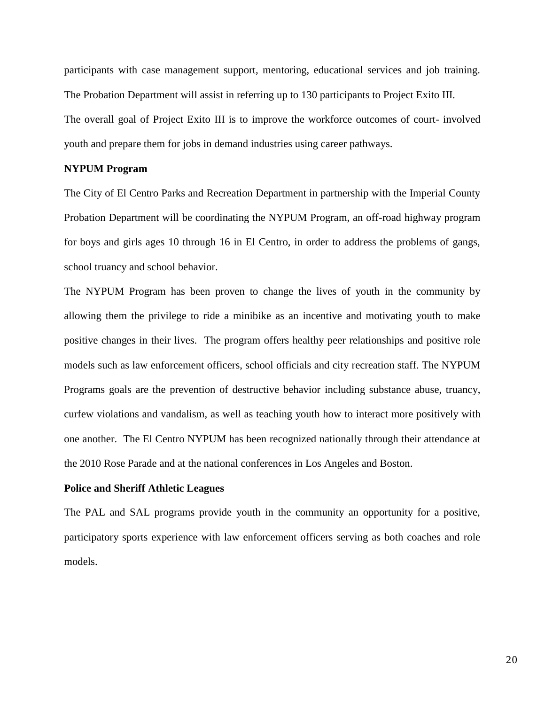participants with case management support, mentoring, educational services and job training. The Probation Department will assist in referring up to 130 participants to Project Exito III. The overall goal of Project Exito III is to improve the workforce outcomes of court- involved youth and prepare them for jobs in demand industries using career pathways.

# **NYPUM Program**

The City of El Centro Parks and Recreation Department in partnership with the Imperial County Probation Department will be coordinating the NYPUM Program, an off-road highway program for boys and girls ages 10 through 16 in El Centro, in order to address the problems of gangs, school truancy and school behavior.

The NYPUM Program has been proven to change the lives of youth in the community by allowing them the privilege to ride a minibike as an incentive and motivating youth to make positive changes in their lives. The program offers healthy peer relationships and positive role models such as law enforcement officers, school officials and city recreation staff. The NYPUM Programs goals are the prevention of destructive behavior including substance abuse, truancy, curfew violations and vandalism, as well as teaching youth how to interact more positively with one another. The El Centro NYPUM has been recognized nationally through their attendance at the 2010 Rose Parade and at the national conferences in Los Angeles and Boston.

#### **Police and Sheriff Athletic Leagues**

The PAL and SAL programs provide youth in the community an opportunity for a positive, participatory sports experience with law enforcement officers serving as both coaches and role models.